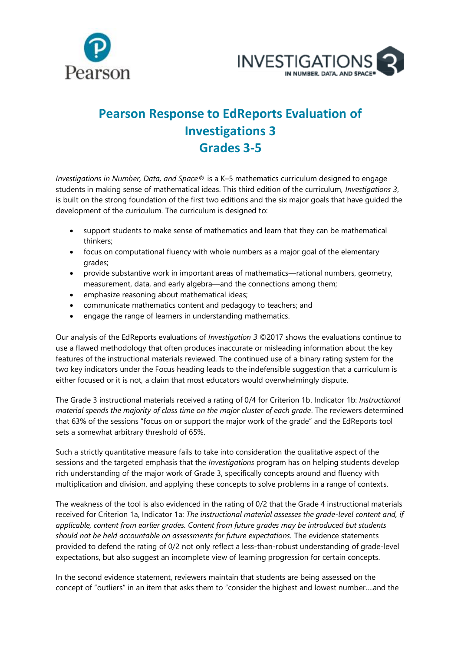



## **Pearson Response to EdReports Evaluation of Investigations 3 Grades 3-5**

*Investigations in Number, Data, and Space®* is a K–5 mathematics curriculum designed to engage students in making sense of mathematical ideas. This third edition of the curriculum, *Investigations 3*, is built on the strong foundation of the first two editions and the six major goals that have guided the development of the curriculum. The curriculum is designed to:

- support students to make sense of mathematics and learn that they can be mathematical thinkers;
- focus on computational fluency with whole numbers as a major goal of the elementary grades;
- provide substantive work in important areas of mathematics—rational numbers, geometry, measurement, data, and early algebra—and the connections among them;
- emphasize reasoning about mathematical ideas;
- communicate mathematics content and pedagogy to teachers; and
- engage the range of learners in understanding mathematics.

Our analysis of the EdReports evaluations of *Investigation 3* ©2017 shows the evaluations continue to use a flawed methodology that often produces inaccurate or misleading information about the key features of the instructional materials reviewed. The continued use of a binary rating system for the two key indicators under the Focus heading leads to the indefensible suggestion that a curriculum is either focused or it is not, a claim that most educators would overwhelmingly dispute.

The Grade 3 instructional materials received a rating of 0/4 for Criterion 1b, Indicator 1b: *Instructional material spends the majority of class time on the major cluster of each grade*. The reviewers determined that 63% of the sessions "focus on or support the major work of the grade" and the EdReports tool sets a somewhat arbitrary threshold of 65%.

Such a strictly quantitative measure fails to take into consideration the qualitative aspect of the sessions and the targeted emphasis that the *Investigations* program has on helping students develop rich understanding of the major work of Grade 3, specifically concepts around and fluency with multiplication and division, and applying these concepts to solve problems in a range of contexts.

The weakness of the tool is also evidenced in the rating of 0/2 that the Grade 4 instructional materials received for Criterion 1a, Indicator 1a: *The instructional material assesses the grade-level content and, if applicable, content from earlier grades. Content from future grades may be introduced but students should not be held accountable on assessments for future expectations.* The evidence statements provided to defend the rating of 0/2 not only reflect a less-than-robust understanding of grade-level expectations, but also suggest an incomplete view of learning progression for certain concepts.

In the second evidence statement, reviewers maintain that students are being assessed on the concept of "outliers" in an item that asks them to "consider the highest and lowest number….and the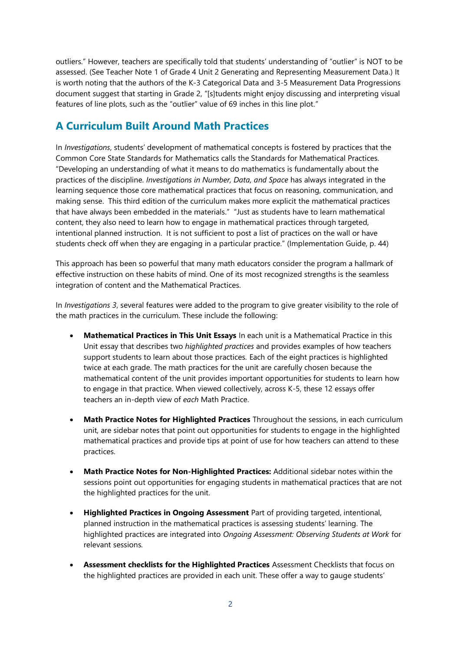outliers." However, teachers are specifically told that students' understanding of "outlier" is NOT to be assessed. (See Teacher Note 1 of Grade 4 Unit 2 Generating and Representing Measurement Data.) It is worth noting that the authors of the K-3 Categorical Data and 3-5 Measurement Data Progressions document suggest that starting in Grade 2, "[s]tudents might enjoy discussing and interpreting visual features of line plots, such as the "outlier" value of 69 inches in this line plot."

## **A Curriculum Built Around Math Practices**

In *Investigations*, students' development of mathematical concepts is fostered by practices that the Common Core State Standards for Mathematics calls the Standards for Mathematical Practices. "Developing an understanding of what it means to do mathematics is fundamentally about the practices of the discipline. *Investigations in Number, Data, and Space* has always integrated in the learning sequence those core mathematical practices that focus on reasoning, communication, and making sense. This third edition of the curriculum makes more explicit the mathematical practices that have always been embedded in the materials." "Just as students have to learn mathematical content, they also need to learn how to engage in mathematical practices through targeted, intentional planned instruction. It is not sufficient to post a list of practices on the wall or have students check off when they are engaging in a particular practice." (Implementation Guide, p. 44)

This approach has been so powerful that many math educators consider the program a hallmark of effective instruction on these habits of mind. One of its most recognized strengths is the seamless integration of content and the Mathematical Practices.

In *Investigations 3*, several features were added to the program to give greater visibility to the role of the math practices in the curriculum. These include the following:

- **Mathematical Practices in This Unit Essays** In each unit is a Mathematical Practice in this Unit essay that describes two *highlighted practices* and provides examples of how teachers support students to learn about those practices*.* Each of the eight practices is highlighted twice at each grade. The math practices for the unit are carefully chosen because the mathematical content of the unit provides important opportunities for students to learn how to engage in that practice. When viewed collectively, across K-5, these 12 essays offer teachers an in-depth view of *each* Math Practice.
- **Math Practice Notes for Highlighted Practices** Throughout the sessions, in each curriculum unit, are sidebar notes that point out opportunities for students to engage in the highlighted mathematical practices and provide tips at point of use for how teachers can attend to these practices.
- **Math Practice Notes for Non-Highlighted Practices:** Additional sidebar notes within the sessions point out opportunities for engaging students in mathematical practices that are not the highlighted practices for the unit.
- **Highlighted Practices in Ongoing Assessment** Part of providing targeted, intentional, planned instruction in the mathematical practices is assessing students' learning. The highlighted practices are integrated into *Ongoing Assessment: Observing Students at Work* for relevant sessions.
- **Assessment checklists for the Highlighted Practices** Assessment Checklists that focus on the highlighted practices are provided in each unit. These offer a way to gauge students'